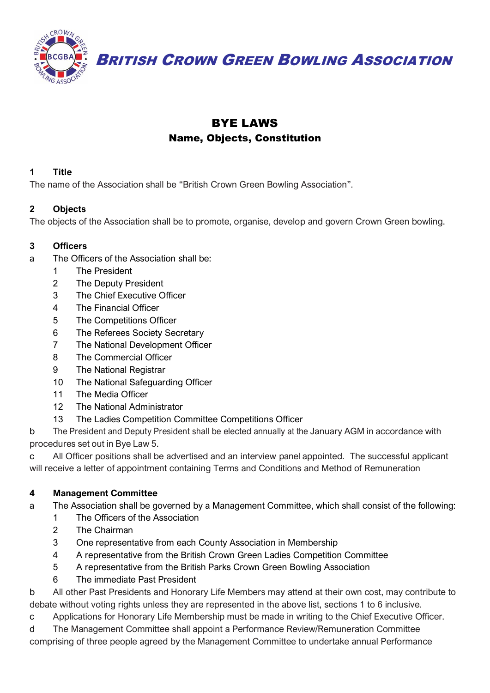

**BRITISH CROWN GREEN BOWLING ASSOCIATION** 

# BYE LAWS

# Name, Objects, Constitution

### **1 Title**

The name of the Association shall be "British Crown Green Bowling Association".

# **2 Objects**

The objects of the Association shall be to promote, organise, develop and govern Crown Green bowling.

# **3 Officers**

- a The Officers of the Association shall be:
	- 1 The President
	- 2 The Deputy President
	- 3 The Chief Executive Officer
	- 4 The Financial Officer
	- 5 The Competitions Officer
	- 6 The Referees Society Secretary
	- 7 The National Development Officer
	- 8 The Commercial Officer
	- 9 The National Registrar
	- 10 The National Safeguarding Officer
	- 11 The Media Officer
	- 12 The National Administrator
	- 13 The Ladies Competition Committee Competitions Officer

b The President and Deputy President shall be elected annually at the January AGM in accordance with procedures set out in Bye Law 5.

c All Officer positions shall be advertised and an interview panel appointed. The successful applicant will receive a letter of appointment containing Terms and Conditions and Method of Remuneration

# **4 Management Committee**

- a The Association shall be governed by a Management Committee, which shall consist of the following:
	- 1 The Officers of the Association
	- 2 The Chairman
	- 3 One representative from each County Association in Membership
	- 4 A representative from the British Crown Green Ladies Competition Committee
	- 5 A representative from the British Parks Crown Green Bowling Association
	- 6 The immediate Past President

b All other Past Presidents and Honorary Life Members may attend at their own cost, may contribute to debate without voting rights unless they are represented in the above list, sections 1 to 6 inclusive.

c Applications for Honorary Life Membership must be made in writing to the Chief Executive Officer.

d The Management Committee shall appoint a Performance Review/Remuneration Committee comprising of three people agreed by the Management Committee to undertake annual Performance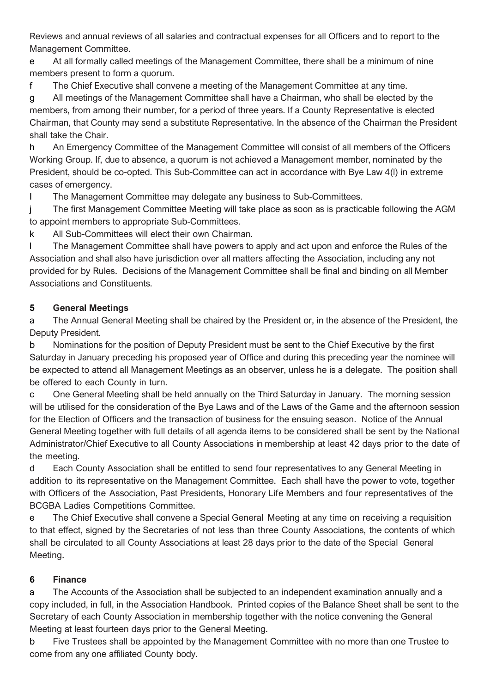Reviews and annual reviews of all salaries and contractual expenses for all Officers and to report to the Management Committee.

e At all formally called meetings of the Management Committee, there shall be a minimum of nine members present to form a quorum.

f The Chief Executive shall convene a meeting of the Management Committee at any time.

g All meetings of the Management Committee shall have a Chairman, who shall be elected by the members, from among their number, for a period of three years. If a County Representative is elected Chairman, that County may send a substitute Representative. In the absence of the Chairman the President shall take the Chair.

h An Emergency Committee of the Management Committee will consist of all members of the Officers Working Group. If, due to absence, a quorum is not achieved a Management member, nominated by the President, should be co-opted. This Sub-Committee can act in accordance with Bye Law 4(l) in extreme cases of emergency.

I The Management Committee may delegate any business to Sub-Committees.

j The first Management Committee Meeting will take place as soon as is practicable following the AGM to appoint members to appropriate Sub-Committees.

k All Sub-Committees will elect their own Chairman.

l The Management Committee shall have powers to apply and act upon and enforce the Rules of the Association and shall also have jurisdiction over all matters affecting the Association, including any not provided for by Rules. Decisions of the Management Committee shall be final and binding on all Member Associations and Constituents.

# **5 General Meetings**

a The Annual General Meeting shall be chaired by the President or, in the absence of the President, the Deputy President.

b Nominations for the position of Deputy President must be sent to the Chief Executive by the first Saturday in January preceding his proposed year of Office and during this preceding year the nominee will be expected to attend all Management Meetings as an observer, unless he is a delegate. The position shall be offered to each County in turn.

c One General Meeting shall be held annually on the Third Saturday in January. The morning session will be utilised for the consideration of the Bye Laws and of the Laws of the Game and the afternoon session for the Election of Officers and the transaction of business for the ensuing season. Notice of the Annual General Meeting together with full details of all agenda items to be considered shall be sent by the National Administrator/Chief Executive to all County Associations in membership at least 42 days prior to the date of the meeting.

d Each County Association shall be entitled to send four representatives to any General Meeting in addition to its representative on the Management Committee. Each shall have the power to vote, together with Officers of the Association, Past Presidents, Honorary Life Members and four representatives of the BCGBA Ladies Competitions Committee.

e The Chief Executive shall convene a Special General Meeting at any time on receiving a requisition to that effect, signed by the Secretaries of not less than three County Associations, the contents of which shall be circulated to all County Associations at least 28 days prior to the date of the Special General Meeting.

# **6 Finance**

a The Accounts of the Association shall be subjected to an independent examination annually and a copy included, in full, in the Association Handbook. Printed copies of the Balance Sheet shall be sent to the Secretary of each County Association in membership together with the notice convening the General Meeting at least fourteen days prior to the General Meeting.

b Five Trustees shall be appointed by the Management Committee with no more than one Trustee to come from any one affiliated County body.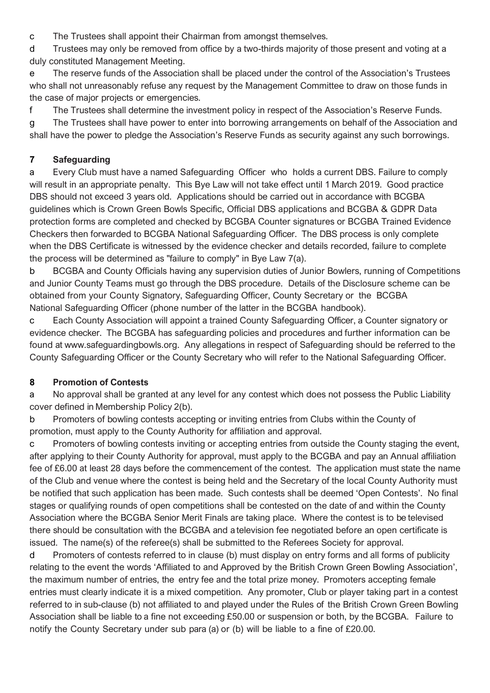c The Trustees shall appoint their Chairman from amongst themselves.

d Trustees may only be removed from office by a two-thirds majority of those present and voting at a duly constituted Management Meeting.

e The reserve funds of the Association shall be placed under the control of the Association's Trustees who shall not unreasonably refuse any request by the Management Committee to draw on those funds in the case of major projects or emergencies.

f The Trustees shall determine the investment policy in respect of the Association's Reserve Funds.

g The Trustees shall have power to enter into borrowing arrangements on behalf of the Association and shall have the power to pledge the Association's Reserve Funds as security against any such borrowings.

### **7 Safeguarding**

a Every Club must have a named Safeguarding Officer who holds a current DBS. Failure to comply will result in an appropriate penalty. This Bye Law will not take effect until 1 March 2019. Good practice DBS should not exceed 3 years old. Applications should be carried out in accordance with BCGBA guidelines which is Crown Green Bowls Specific, Official DBS applications and BCGBA & GDPR Data protection forms are completed and checked by BCGBA Counter signatures or BCGBA Trained Evidence Checkers then forwarded to BCGBA National Safeguarding Officer. The DBS process is only complete when the DBS Certificate is witnessed by the evidence checker and details recorded, failure to complete the process will be determined as "failure to comply" in Bye Law 7(a).

b BCGBA and County Officials having any supervision duties of Junior Bowlers, running of Competitions and Junior County Teams must go through the DBS procedure. Details of the Disclosure scheme can be obtained from your County Signatory, Safeguarding Officer, County Secretary or the BCGBA National Safeguarding Officer (phone number of the latter in the BCGBA handbook).

c Each County Association will appoint a trained County Safeguarding Officer, a Counter signatory or evidence checker. The BCGBA has safeguarding policies and procedures and further information can be found at [www.safeguardingbowls.org.](http://www.safeguardingbowls.org/) Any allegations in respect of Safeguarding should be referred to the County Safeguarding Officer or the County Secretary who will refer to the National Safeguarding Officer.

### **8 Promotion of Contests**

a No approval shall be granted at any level for any contest which does not possess the Public Liability cover defined in Membership Policy 2(b).

b Promoters of bowling contests accepting or inviting entries from Clubs within the County of promotion, must apply to the County Authority for affiliation and approval.

c Promoters of bowling contests inviting or accepting entries from outside the County staging the event, after applying to their County Authority for approval, must apply to the BCGBA and pay an Annual affiliation fee of £6.00 at least 28 days before the commencement of the contest. The application must state the name of the Club and venue where the contest is being held and the Secretary of the local County Authority must be notified that such application has been made. Such contests shall be deemed 'Open Contests'. No final stages or qualifying rounds of open competitions shall be contested on the date of and within the County Association where the BCGBA Senior Merit Finals are taking place. Where the contest is to be televised there should be consultation with the BCGBA and a television fee negotiated before an open certificate is issued. The name(s) of the referee(s) shall be submitted to the Referees Society for approval.

d Promoters of contests referred to in clause (b) must display on entry forms and all forms of publicity relating to the event the words 'Affiliated to and Approved by the British Crown Green Bowling Association', the maximum number of entries, the entry fee and the total prize money. Promoters accepting female entries must clearly indicate it is a mixed competition. Any promoter, Club or player taking part in a contest referred to in sub-clause (b) not affiliated to and played under the Rules of the British Crown Green Bowling Association shall be liable to a fine not exceeding £50.00 or suspension or both, by the BCGBA. Failure to notify the County Secretary under sub para (a) or (b) will be liable to a fine of £20.00.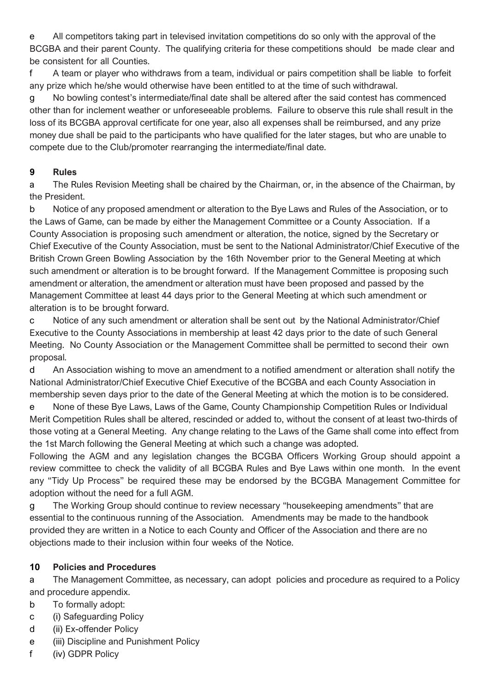e All competitors taking part in televised invitation competitions do so only with the approval of the BCGBA and their parent County. The qualifying criteria for these competitions should be made clear and be consistent for all Counties.

f A team or player who withdraws from a team, individual or pairs competition shall be liable to forfeit any prize which he/she would otherwise have been entitled to at the time of such withdrawal.

g No bowling contest's intermediate/final date shall be altered after the said contest has commenced other than for inclement weather or unforeseeable problems. Failure to observe this rule shall result in the loss of its BCGBA approval certificate for one year, also all expenses shall be reimbursed, and any prize money due shall be paid to the participants who have qualified for the later stages, but who are unable to compete due to the Club/promoter rearranging the intermediate/final date.

### **9 Rules**

a The Rules Revision Meeting shall be chaired by the Chairman, or, in the absence of the Chairman, by the President.

b Notice of any proposed amendment or alteration to the Bye Laws and Rules of the Association, or to the Laws of Game, can be made by either the Management Committee or a County Association. If a County Association is proposing such amendment or alteration, the notice, signed by the Secretary or Chief Executive of the County Association, must be sent to the National Administrator/Chief Executive of the British Crown Green Bowling Association by the 16th November prior to the General Meeting at which such amendment or alteration is to be brought forward. If the Management Committee is proposing such amendment or alteration, the amendment or alteration must have been proposed and passed by the Management Committee at least 44 days prior to the General Meeting at which such amendment or alteration is to be brought forward.

c Notice of any such amendment or alteration shall be sent out by the National Administrator/Chief Executive to the County Associations in membership at least 42 days prior to the date of such General Meeting. No County Association or the Management Committee shall be permitted to second their own proposal.

d An Association wishing to move an amendment to a notified amendment or alteration shall notify the National Administrator/Chief Executive Chief Executive of the BCGBA and each County Association in membership seven days prior to the date of the General Meeting at which the motion is to be considered.

e None of these Bye Laws, Laws of the Game, County Championship Competition Rules or Individual Merit Competition Rules shall be altered, rescinded or added to, without the consent of at least two-thirds of those voting at a General Meeting. Any change relating to the Laws of the Game shall come into effect from the 1st March following the General Meeting at which such a change was adopted.

Following the AGM and any legislation changes the BCGBA Officers Working Group should appoint a review committee to check the validity of all BCGBA Rules and Bye Laws within one month. In the event any "Tidy Up Process" be required these may be endorsed by the BCGBA Management Committee for adoption without the need for a full AGM.

g The Working Group should continue to review necessary "housekeeping amendments" that are essential to the continuous running of the Association. Amendments may be made to the handbook provided they are written in a Notice to each County and Officer of the Association and there are no objections made to their inclusion within four weeks of the Notice.

### **10 Policies and Procedures**

a The Management Committee, as necessary, can adopt policies and procedure as required to a Policy and procedure appendix.

- b To formally adopt:
- c (i) Safeguarding Policy
- d (ii) Ex-offender Policy
- e (iii) Discipline and Punishment Policy
- f (iv) GDPR Policy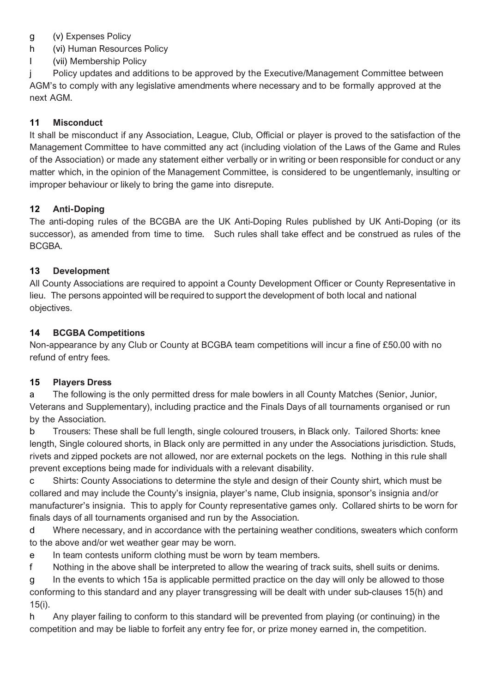- g (v) Expenses Policy
- h (vi) Human Resources Policy
- I (vii) Membership Policy

j Policy updates and additions to be approved by the Executive/Management Committee between AGM's to comply with any legislative amendments where necessary and to be formally approved at the next AGM.

### **11 Misconduct**

It shall be misconduct if any Association, League, Club, Official or player is proved to the satisfaction of the Management Committee to have committed any act (including violation of the Laws of the Game and Rules of the Association) or made any statement either verbally or in writing or been responsible for conduct or any matter which, in the opinion of the Management Committee, is considered to be ungentlemanly, insulting or improper behaviour or likely to bring the game into disrepute.

#### **12 Anti-Doping**

The anti-doping rules of the BCGBA are the UK Anti-Doping Rules published by UK Anti-Doping (or its successor), as amended from time to time. Such rules shall take effect and be construed as rules of the BCGBA.

#### **13 Development**

All County Associations are required to appoint a County Development Officer or County Representative in lieu. The persons appointed will be required to support the development of both local and national objectives.

#### **14 BCGBA Competitions**

Non-appearance by any Club or County at BCGBA team competitions will incur a fine of £50.00 with no refund of entry fees.

#### **15 Players Dress**

a The following is the only permitted dress for male bowlers in all County Matches (Senior, Junior, Veterans and Supplementary), including practice and the Finals Days of all tournaments organised or run by the Association.

b Trousers: These shall be full length, single coloured trousers, in Black only. Tailored Shorts: knee length, Single coloured shorts, in Black only are permitted in any under the Associations jurisdiction. Studs, rivets and zipped pockets are not allowed, nor are external pockets on the legs. Nothing in this rule shall prevent exceptions being made for individuals with a relevant disability.

c Shirts: County Associations to determine the style and design of their County shirt, which must be collared and may include the County's insignia, player's name, Club insignia, sponsor's insignia and/or manufacturer's insignia. This to apply for County representative games only. Collared shirts to be worn for finals days of all tournaments organised and run by the Association.

d Where necessary, and in accordance with the pertaining weather conditions, sweaters which conform to the above and/or wet weather gear may be worn.

e In team contests uniform clothing must be worn by team members.

f Nothing in the above shall be interpreted to allow the wearing of track suits, shell suits or denims.

g In the events to which 15a is applicable permitted practice on the day will only be allowed to those conforming to this standard and any player transgressing will be dealt with under sub-clauses 15(h) and 15(i).

h Any player failing to conform to this standard will be prevented from playing (or continuing) in the competition and may be liable to forfeit any entry fee for, or prize money earned in, the competition.